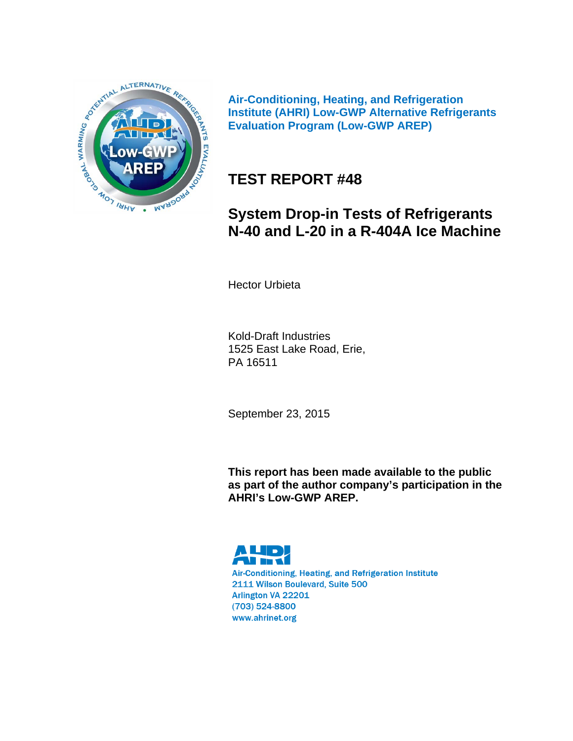

**Air-Conditioning, Heating, and Refrigeration Institute (AHRI) Low-GWP Alternative Refrigerants Evaluation Program (Low-GWP AREP)** 

# **TEST REPORT #48**

# **System Drop-in Tests of Refrigerants N-40 and L-20 in a R-404A Ice Machine**

Hector Urbieta

Kold-Draft Industries 1525 East Lake Road, Erie, PA 16511

September 23, 2015

**This report has been made available to the public as part of the author company's participation in the AHRI's Low-GWP AREP.** 

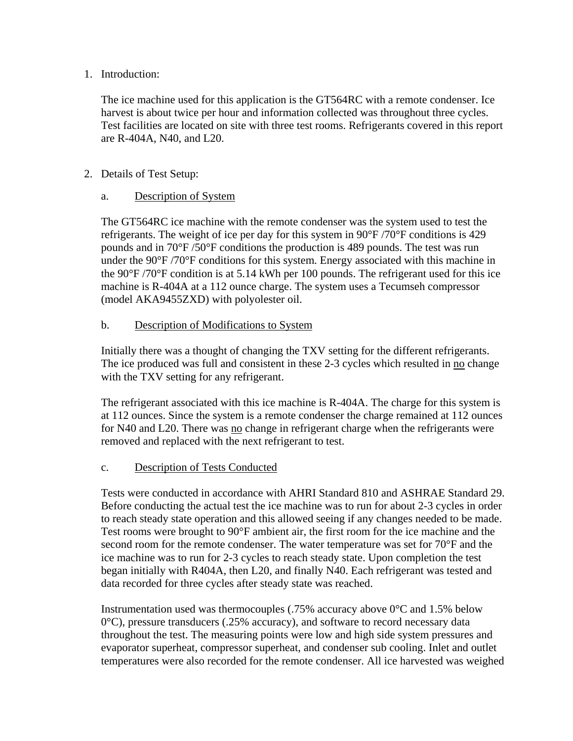#### 1. Introduction:

The ice machine used for this application is the GT564RC with a remote condenser. Ice harvest is about twice per hour and information collected was throughout three cycles. Test facilities are located on site with three test rooms. Refrigerants covered in this report are R-404A, N40, and L20.

#### 2. Details of Test Setup:

#### a. Description of System

The GT564RC ice machine with the remote condenser was the system used to test the refrigerants. The weight of ice per day for this system in  $90^{\circ}F/70^{\circ}F$  conditions is 429 pounds and in 70°F /50°F conditions the production is 489 pounds. The test was run under the  $90^{\circ}F/70^{\circ}F$  conditions for this system. Energy associated with this machine in the 90°F /70°F condition is at 5.14 kWh per 100 pounds. The refrigerant used for this ice machine is R-404A at a 112 ounce charge. The system uses a Tecumseh compressor (model AKA9455ZXD) with polyolester oil.

#### b. Description of Modifications to System

Initially there was a thought of changing the TXV setting for the different refrigerants. The ice produced was full and consistent in these 2-3 cycles which resulted in no change with the TXV setting for any refrigerant.

The refrigerant associated with this ice machine is R-404A. The charge for this system is at 112 ounces. Since the system is a remote condenser the charge remained at 112 ounces for N40 and L20. There was no change in refrigerant charge when the refrigerants were removed and replaced with the next refrigerant to test.

#### c. Description of Tests Conducted

Tests were conducted in accordance with AHRI Standard 810 and ASHRAE Standard 29. Before conducting the actual test the ice machine was to run for about 2-3 cycles in order to reach steady state operation and this allowed seeing if any changes needed to be made. Test rooms were brought to 90°F ambient air, the first room for the ice machine and the second room for the remote condenser. The water temperature was set for 70°F and the ice machine was to run for 2-3 cycles to reach steady state. Upon completion the test began initially with R404A, then L20, and finally N40. Each refrigerant was tested and data recorded for three cycles after steady state was reached.

Instrumentation used was thermocouples (.75% accuracy above  $0^{\circ}$ C and 1.5% below  $0^{\circ}$ C), pressure transducers (.25% accuracy), and software to record necessary data throughout the test. The measuring points were low and high side system pressures and evaporator superheat, compressor superheat, and condenser sub cooling. Inlet and outlet temperatures were also recorded for the remote condenser. All ice harvested was weighed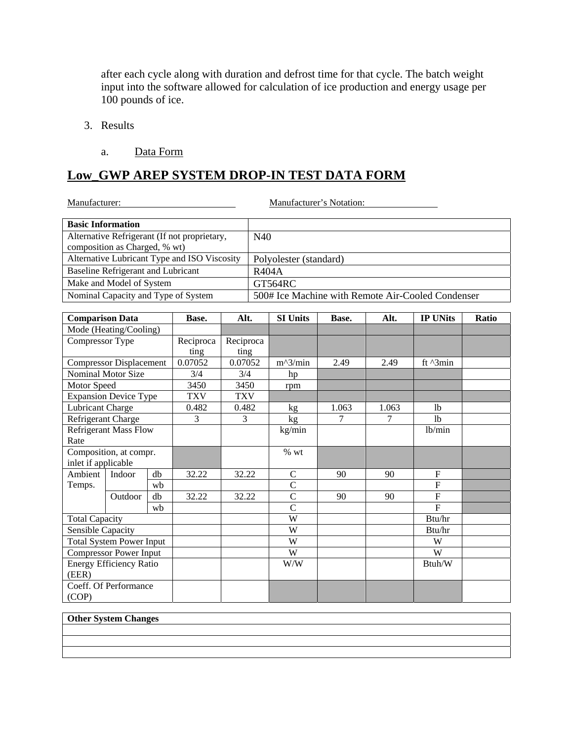after each cycle along with duration and defrost time for that cycle. The batch weight input into the software allowed for calculation of ice production and energy usage per 100 pounds of ice.

- 3. Results
	- a. Data Form

#### **Low\_GWP AREP SYSTEM DROP-IN TEST DATA FORM**

| Manufacturer:                                                                 |                                           |    |                                              |            |              | Manufacturer's Notation: |       |        |                                                   |       |
|-------------------------------------------------------------------------------|-------------------------------------------|----|----------------------------------------------|------------|--------------|--------------------------|-------|--------|---------------------------------------------------|-------|
| <b>Basic Information</b>                                                      |                                           |    |                                              |            |              |                          |       |        |                                                   |       |
| Alternative Refrigerant (If not proprietary,<br>composition as Charged, % wt) |                                           |    | N40                                          |            |              |                          |       |        |                                                   |       |
|                                                                               |                                           |    | Alternative Lubricant Type and ISO Viscosity |            |              | Polyolester (standard)   |       |        |                                                   |       |
|                                                                               | <b>Baseline Refrigerant and Lubricant</b> |    |                                              |            | <b>R404A</b> |                          |       |        |                                                   |       |
|                                                                               | Make and Model of System                  |    |                                              |            |              | GT564RC                  |       |        |                                                   |       |
|                                                                               |                                           |    | Nominal Capacity and Type of System          |            |              |                          |       |        | 500# Ice Machine with Remote Air-Cooled Condenser |       |
|                                                                               |                                           |    |                                              |            |              |                          |       |        |                                                   |       |
| <b>Comparison Data</b>                                                        |                                           |    | Base.                                        | Alt.       |              | <b>SI Units</b>          | Base. | Alt.   | <b>IP UNits</b>                                   | Ratio |
|                                                                               | Mode (Heating/Cooling)                    |    |                                              |            |              |                          |       |        |                                                   |       |
| Compressor Type                                                               |                                           |    | Reciproca                                    | Reciproca  |              |                          |       |        |                                                   |       |
|                                                                               |                                           |    | ting                                         | ting       |              |                          |       |        |                                                   |       |
|                                                                               | <b>Compressor Displacement</b>            |    | 0.07052                                      | 0.07052    |              | $m^2/$ min               | 2.49  | 2.49   | ft ^3min                                          |       |
|                                                                               | Nominal Motor Size                        |    | 3/4                                          | 3/4        |              | hp                       |       |        |                                                   |       |
| Motor Speed                                                                   |                                           |    | 3450                                         | 3450       |              | rpm                      |       |        |                                                   |       |
|                                                                               | <b>Expansion Device Type</b>              |    | <b>TXV</b>                                   | <b>TXV</b> |              |                          |       |        |                                                   |       |
| Lubricant Charge                                                              |                                           |    | 0.482                                        | 0.482      |              | kg                       | 1.063 | 1.063  | 1 <sub>b</sub>                                    |       |
| Refrigerant Charge                                                            |                                           |    | 3                                            | 3          |              | kg                       | 7     | 7      | 1 <sub>b</sub>                                    |       |
| Rate                                                                          | <b>Refrigerant Mass Flow</b>              |    |                                              |            |              | kg/min                   |       |        | lb/min                                            |       |
|                                                                               | Composition, at compr.                    |    |                                              |            |              | % wt                     |       |        |                                                   |       |
| inlet if applicable                                                           |                                           |    |                                              |            |              |                          |       |        |                                                   |       |
| Ambient                                                                       | Indoor                                    | db | 32.22                                        | 32.22      |              | $\mathcal{C}$            | 90    | 90     | $\boldsymbol{\mathrm{F}}$                         |       |
| Temps.                                                                        |                                           | wb |                                              |            |              | $\mathcal{C}$            |       |        | $\overline{F}$                                    |       |
|                                                                               | Outdoor                                   | db | 32.22                                        | 32.22      |              | $\mathcal{C}$            | 90    | 90     | $\overline{F}$                                    |       |
|                                                                               |                                           | wh |                                              |            |              | $\mathcal{C}$            |       |        | $\overline{F}$                                    |       |
| <b>Total Capacity</b>                                                         |                                           |    |                                              |            | W            |                          |       | Btu/hr |                                                   |       |
| <b>Sensible Capacity</b>                                                      |                                           |    |                                              |            | W            |                          |       | Btu/hr |                                                   |       |
| <b>Total System Power Input</b>                                               |                                           |    |                                              | W          |              |                          | W     |        |                                                   |       |
| <b>Compressor Power Input</b>                                                 |                                           |    |                                              | W          |              |                          | W     |        |                                                   |       |
| (EER)                                                                         | Energy Efficiency Ratio                   |    |                                              |            |              | W/W                      |       |        | Btuh/W                                            |       |
| (COP)                                                                         | Coeff. Of Performance                     |    |                                              |            |              |                          |       |        |                                                   |       |

#### **Other System Changes**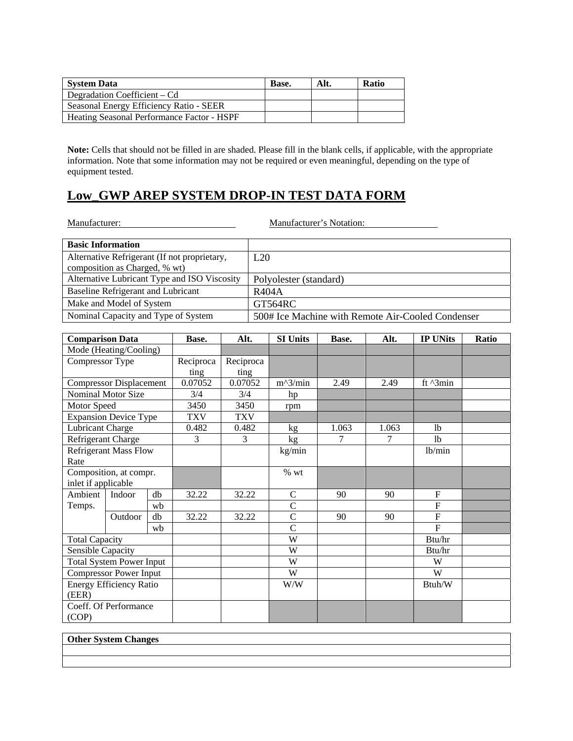| <b>System Data</b>                         | Base. | Alt. | <b>Ratio</b> |
|--------------------------------------------|-------|------|--------------|
| Degradation Coefficient – Cd               |       |      |              |
| Seasonal Energy Efficiency Ratio - SEER    |       |      |              |
| Heating Seasonal Performance Factor - HSPF |       |      |              |

**Note:** Cells that should not be filled in are shaded. Please fill in the blank cells, if applicable, with the appropriate information. Note that some information may not be required or even meaningful, depending on the type of equipment tested.

### **Low\_GWP AREP SYSTEM DROP-IN TEST DATA FORM**

Manufacturer: Manufacturer's Notation: **Basic Information**  Alternative Refrigerant (If not proprietary, composition as Charged, % wt) L20 Alternative Lubricant Type and ISO Viscosity | Polyolester (standard) Baseline Refrigerant and Lubricant R404A Make and Model of System GT564RC<br>Nominal Capacity and Type of System 500# Ice M 500# Ice Machine with Remote Air-Cooled Condenser **Comparison Data** Base. Alt. SI Units Base. Alt. **IP UNits Ratio** Mode (Heating/Cooling) Compressor Type Reciproca ting Reciproca  $\frac{\text{ting}}{0.07052}$ Compressor Displacement 0.07052 0.07052 m^3/min 2.49 2.49 ft ^3min Nominal Motor Size  $\begin{array}{|l|c|c|c|c|}\n\hline\n3/4 & 3/4 & \text{hp} \\
\hline\n\text{Motor Speed} & 3450 & 3450 & \text{rpm}\n\end{array}$ Motor Speed 3450 3450 rpm<br>Expansion Device Type TXV TXV Expansion Device Type TXV TXV<br>
Lubricant Charge 0.482 0.482 Pubricant Charge 1.0482 0.482 kg 1.063 1.063 lb<br>
Refrigerant Charge 3 3 kg 7 7 1 lb Refrigerant Charge 3 3 3 kg 7 7 lb Refrigerant Mass Flow Rate kg/min lb/min Composition, at compr. inlet if applicable % wt Ambient Temps. Indoor db 32.22 32.22 C 90 90 F wb C F Outdoor db 32.22 32.22 C 90 90 F wb C F Total Capacity **Btu/hr** New York 1989 and 1989 and 1989 and 1989 and 1989 and 1989 and 1989 and 1989 and 1989 and 1989 and 1989 and 1989 and 1989 and 1989 and 1989 and 1989 and 1989 and 1989 and 1989 and 1989 and 1989 and Sensible Capacity W Btu/hr Total System Power Input W W Compressor Power Input W Energy Efficiency Ratio (EER) W/W Btuh/W Coeff. Of Performance (COP)

#### **Other System Changes**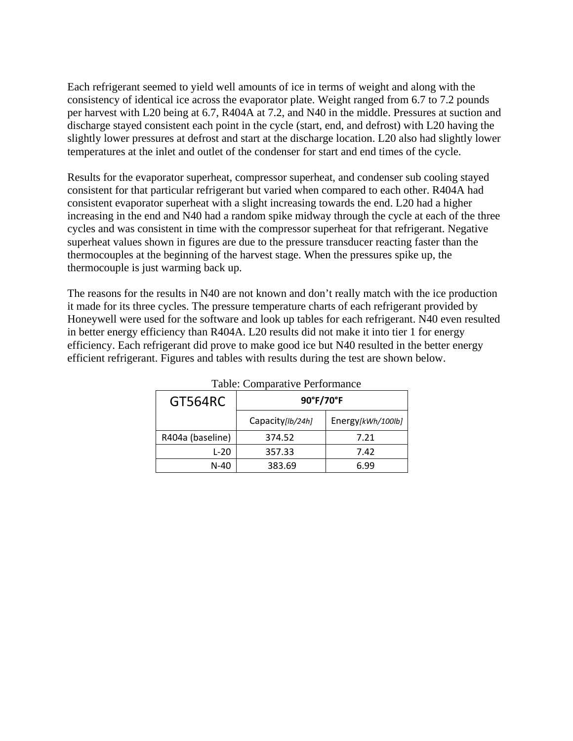Each refrigerant seemed to yield well amounts of ice in terms of weight and along with the consistency of identical ice across the evaporator plate. Weight ranged from 6.7 to 7.2 pounds per harvest with L20 being at 6.7, R404A at 7.2, and N40 in the middle. Pressures at suction and discharge stayed consistent each point in the cycle (start, end, and defrost) with L20 having the slightly lower pressures at defrost and start at the discharge location. L20 also had slightly lower temperatures at the inlet and outlet of the condenser for start and end times of the cycle.

Results for the evaporator superheat, compressor superheat, and condenser sub cooling stayed consistent for that particular refrigerant but varied when compared to each other. R404A had consistent evaporator superheat with a slight increasing towards the end. L20 had a higher increasing in the end and N40 had a random spike midway through the cycle at each of the three cycles and was consistent in time with the compressor superheat for that refrigerant. Negative superheat values shown in figures are due to the pressure transducer reacting faster than the thermocouples at the beginning of the harvest stage. When the pressures spike up, the thermocouple is just warming back up.

The reasons for the results in N40 are not known and don't really match with the ice production it made for its three cycles. The pressure temperature charts of each refrigerant provided by Honeywell were used for the software and look up tables for each refrigerant. N40 even resulted in better energy efficiency than R404A. L20 results did not make it into tier 1 for energy efficiency. Each refrigerant did prove to make good ice but N40 resulted in the better energy efficient refrigerant. Figures and tables with results during the test are shown below.

| <b>GT564RC</b>   | 90°F/70°F        |                   |  |  |  |
|------------------|------------------|-------------------|--|--|--|
|                  | Capacity[lb/24h] | Energy[kWh/100lb] |  |  |  |
| R404a (baseline) | 374.52           | 7.21              |  |  |  |
| L-20             | 357.33           | 7.42              |  |  |  |
| $N-40$           | 383.69           | 6.99              |  |  |  |

Table: Comparative Performance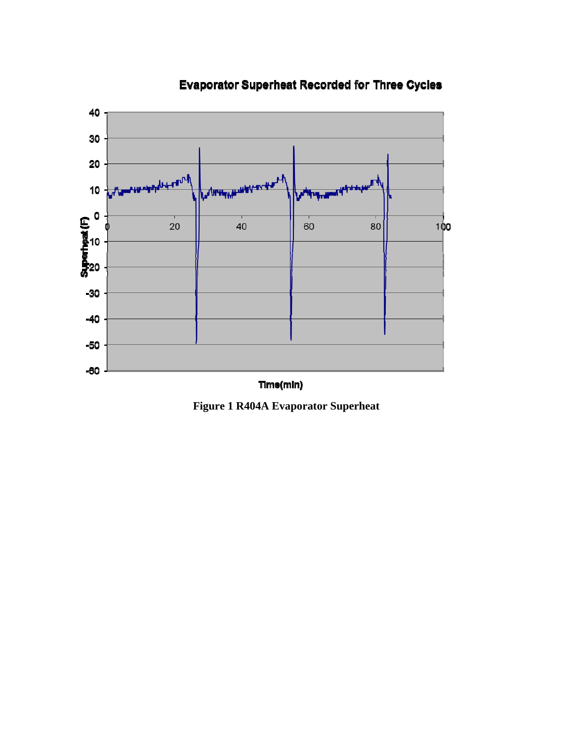

## **Evaporator Superheat Recorded for Three Cycles**

**Figure 1 R404A Evaporator Superheat**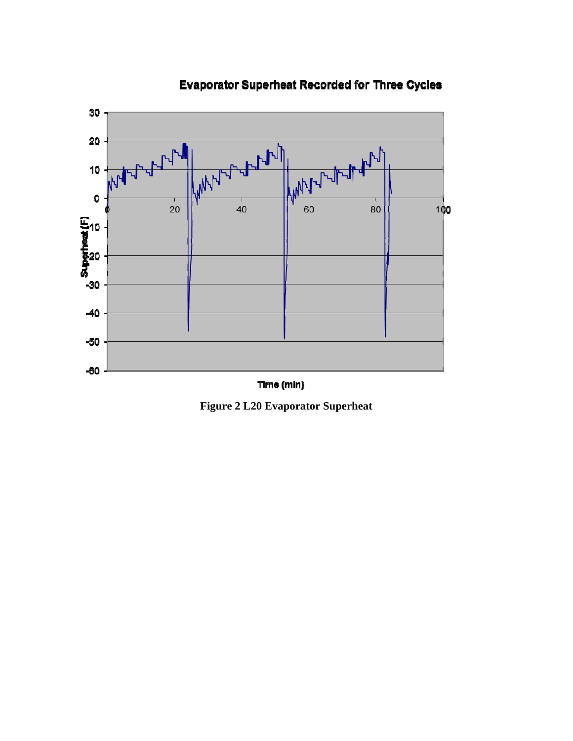

## **Evaporator Superheat Recorded for Three Cycles**



**Figure 2 L20 Evaporator Superheat**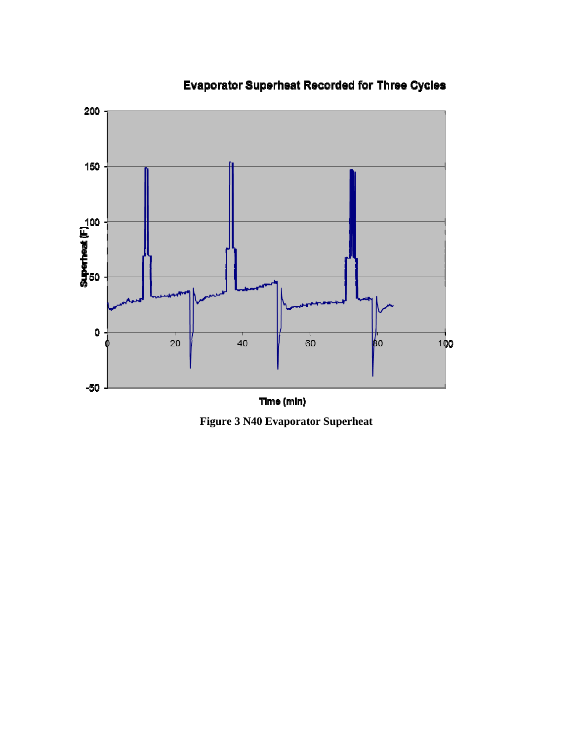

# **Evaporator Superheat Recorded for Three Cycles**

**Figure 3 N40 Evaporator Superheat**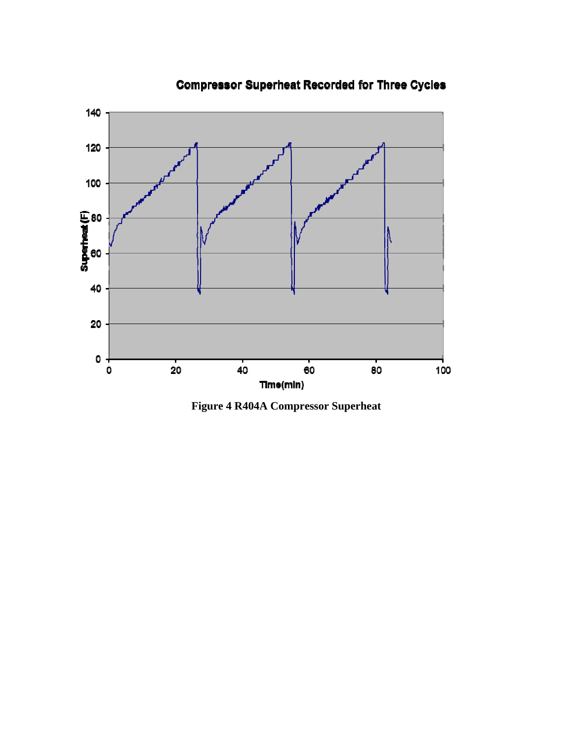

**Compressor Superheat Recorded for Three Cycles** 

**Figure 4 R404A Compressor Superheat**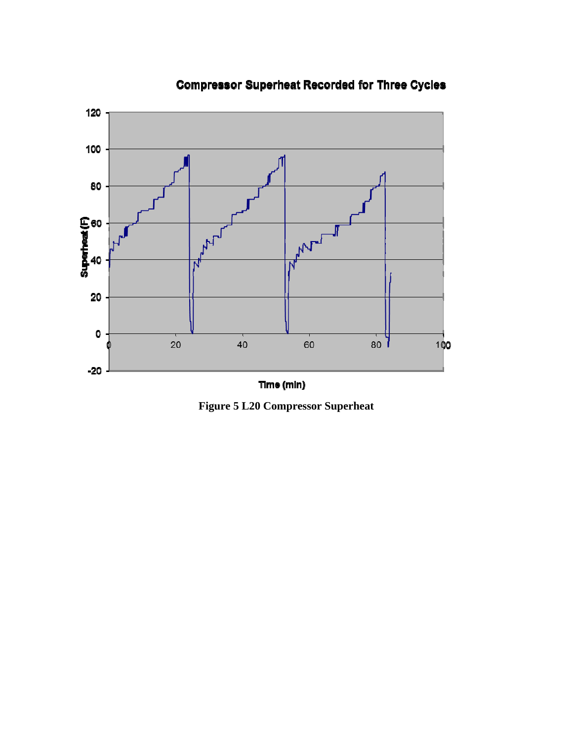

## **Compressor Superheat Recorded for Three Cycles**

**Figure 5 L20 Compressor Superheat**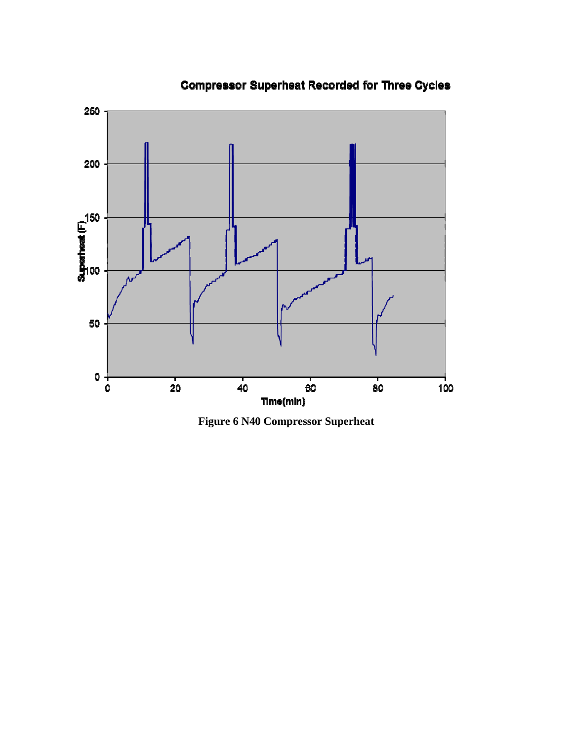

# **Compressor Superheat Recorded for Three Cycles**

**Figure 6 N40 Compressor Superheat**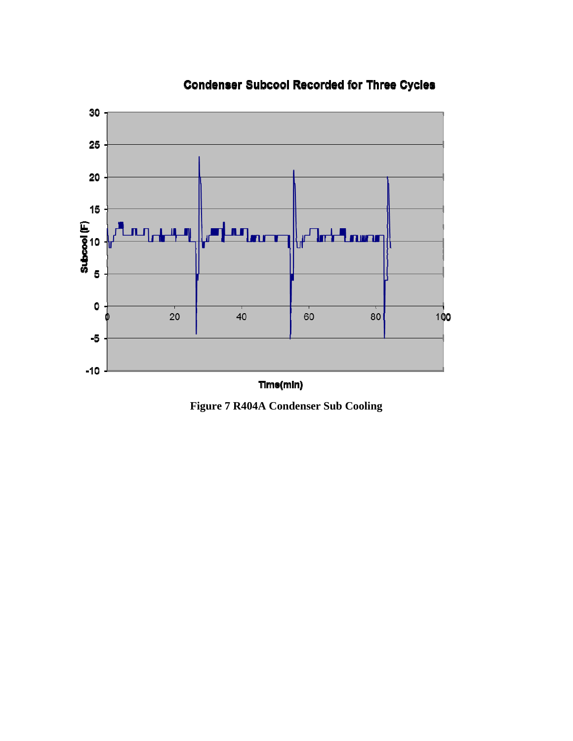

## **Condenser Subcool Recorded for Three Cycles**

**Figure 7 R404A Condenser Sub Cooling**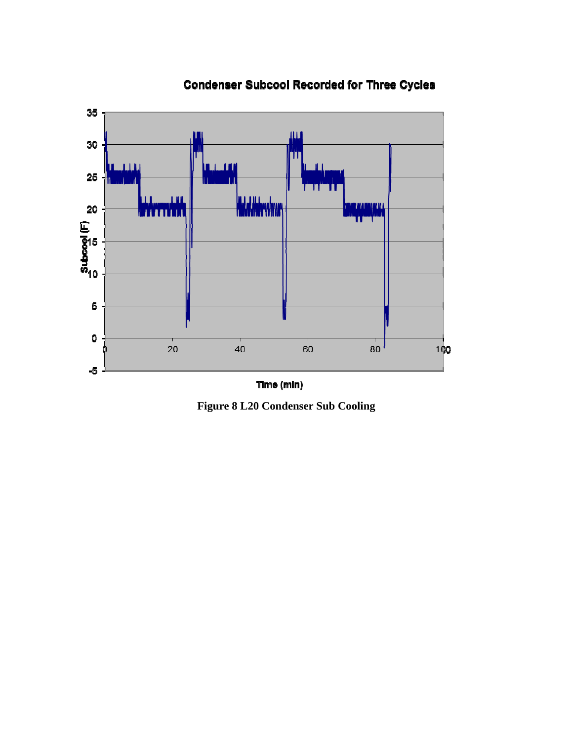

**Condenser Subcool Recorded for Three Cycles** 

Time (min)

**Figure 8 L20 Condenser Sub Cooling**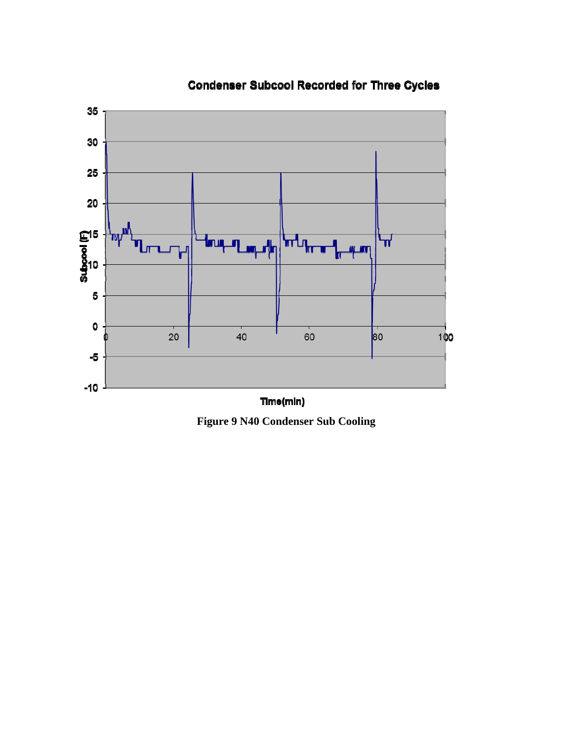

## **Condenser Subcool Recorded for Three Cycles**

**Figure 9 N40 Condenser Sub Cooling**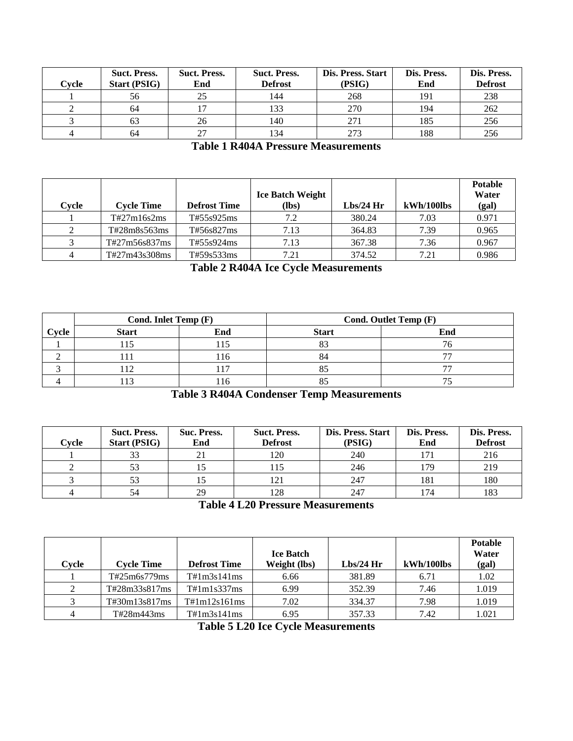| Cvcle | <b>Suct. Press.</b><br><b>Start (PSIG)</b> | <b>Suct. Press.</b><br>End | <b>Suct. Press.</b><br><b>Defrost</b> | Dis. Press. Start<br>(PSIG) | Dis. Press.<br>End | Dis. Press.<br><b>Defrost</b> |
|-------|--------------------------------------------|----------------------------|---------------------------------------|-----------------------------|--------------------|-------------------------------|
|       | 56                                         |                            | 144                                   | 268                         | 191                | 238                           |
|       | 64                                         |                            | 133                                   | 270                         | 194                | 262                           |
|       | 63                                         | 26                         | 140                                   | 271                         | 185                | 256                           |
|       | 64                                         | つつ                         | 134                                   | 273                         | 188                | 256                           |

### **Table 1 R404A Pressure Measurements**

|       |                   |                     | <b>Ice Batch Weight</b> |           |            | <b>Potable</b><br>Water |
|-------|-------------------|---------------------|-------------------------|-----------|------------|-------------------------|
| Cvcle | <b>Cycle Time</b> | <b>Defrost Time</b> | $(lbs)$                 | Lbs/24 Hr | kWh/100lbs | (gal)                   |
|       | T#27m16s2ms       | T#55s925ms          | 7.2                     | 380.24    | 7.03       | 0.971                   |
|       | T#28m8s563ms      | T#56s827ms          | 7.13                    | 364.83    | 7.39       | 0.965                   |
|       | T#27m56s837ms     | T#55s924ms          | 7.13                    | 367.38    | 7.36       | 0.967                   |
| 4     | T#27m43s308ms     | T#59s533ms          | 7.21                    | 374.52    | 7.21       | 0.986                   |

**Table 2 R404A Ice Cycle Measurements** 

|       | Cond. Inlet Temp (F) |       | Cond. Outlet Temp (F) |     |  |
|-------|----------------------|-------|-----------------------|-----|--|
| Cycle | <b>Start</b>         | End   | <b>Start</b>          | End |  |
|       |                      |       | o,                    |     |  |
|       |                      | l I h | 84                    |     |  |
|       |                      |       |                       |     |  |
|       |                      |       |                       |     |  |

#### **Table 3 R404A Condenser Temp Measurements**

| Cvcle | <b>Suct. Press.</b><br><b>Start (PSIG)</b> | Suc. Press.<br>End | <b>Suct. Press.</b><br><b>Defrost</b> | Dis. Press. Start<br>(PSIG) | Dis. Press.<br>End | Dis. Press.<br><b>Defrost</b> |
|-------|--------------------------------------------|--------------------|---------------------------------------|-----------------------------|--------------------|-------------------------------|
|       | 33                                         | 21                 | 120                                   | 240                         | 171                | 216                           |
|       | 53                                         |                    | l 15                                  | 246                         | 179                | 219                           |
|       | 53                                         |                    |                                       | 247                         | 181                | 180                           |
|       | 54                                         | 29                 | 128                                   | 247                         | 174                | 183                           |

**Table 4 L20 Pressure Measurements** 

| Cvcle | <b>Cycle Time</b> | <b>Defrost Time</b> | <b>Ice Batch</b><br>Weight (lbs) | $Lbs/24$ Hr | $kWh/100$ lbs | <b>Potable</b><br>Water<br>(gal) |
|-------|-------------------|---------------------|----------------------------------|-------------|---------------|----------------------------------|
|       | T#25m6s779ms      | T#1m3s141ms         | 6.66                             | 381.89      | 6.71          | 1.02                             |
| 2     | T#28m33s817ms     | T#1m1s337ms         | 6.99                             | 352.39      | 7.46          | 1.019                            |
|       | T#30m13s817ms     | T#1m12s161ms        | 7.02                             | 334.37      | 7.98          | 1.019                            |
| 4     | T#28m443ms        | T#1m3s141ms         | 6.95                             | 357.33      | 7.42          | 1.021                            |

**Table 5 L20 Ice Cycle Measurements**